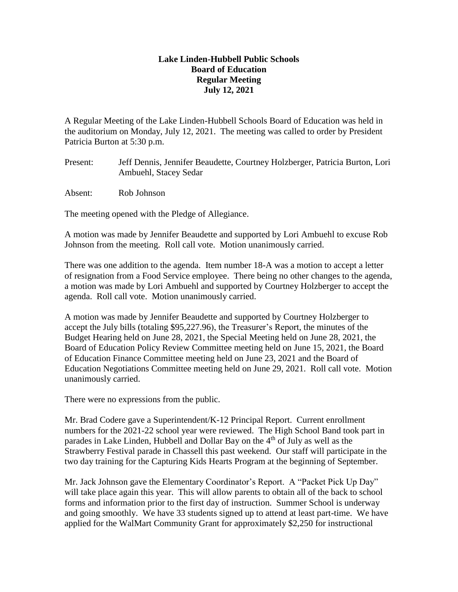## **Lake Linden-Hubbell Public Schools Board of Education Regular Meeting July 12, 2021**

A Regular Meeting of the Lake Linden-Hubbell Schools Board of Education was held in the auditorium on Monday, July 12, 2021. The meeting was called to order by President Patricia Burton at 5:30 p.m.

- Present: Jeff Dennis, Jennifer Beaudette, Courtney Holzberger, Patricia Burton, Lori Ambuehl, Stacey Sedar
- Absent: Rob Johnson

The meeting opened with the Pledge of Allegiance.

A motion was made by Jennifer Beaudette and supported by Lori Ambuehl to excuse Rob Johnson from the meeting. Roll call vote. Motion unanimously carried.

There was one addition to the agenda. Item number 18-A was a motion to accept a letter of resignation from a Food Service employee. There being no other changes to the agenda, a motion was made by Lori Ambuehl and supported by Courtney Holzberger to accept the agenda. Roll call vote. Motion unanimously carried.

A motion was made by Jennifer Beaudette and supported by Courtney Holzberger to accept the July bills (totaling \$95,227.96), the Treasurer's Report, the minutes of the Budget Hearing held on June 28, 2021, the Special Meeting held on June 28, 2021, the Board of Education Policy Review Committee meeting held on June 15, 2021, the Board of Education Finance Committee meeting held on June 23, 2021 and the Board of Education Negotiations Committee meeting held on June 29, 2021. Roll call vote. Motion unanimously carried.

There were no expressions from the public.

Mr. Brad Codere gave a Superintendent/K-12 Principal Report. Current enrollment numbers for the 2021-22 school year were reviewed. The High School Band took part in parades in Lake Linden, Hubbell and Dollar Bay on the 4th of July as well as the Strawberry Festival parade in Chassell this past weekend. Our staff will participate in the two day training for the Capturing Kids Hearts Program at the beginning of September.

Mr. Jack Johnson gave the Elementary Coordinator's Report. A "Packet Pick Up Day" will take place again this year. This will allow parents to obtain all of the back to school forms and information prior to the first day of instruction. Summer School is underway and going smoothly. We have 33 students signed up to attend at least part-time. We have applied for the WalMart Community Grant for approximately \$2,250 for instructional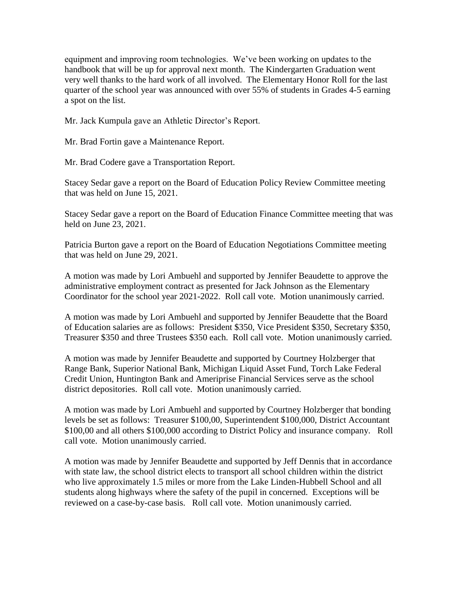equipment and improving room technologies. We've been working on updates to the handbook that will be up for approval next month. The Kindergarten Graduation went very well thanks to the hard work of all involved. The Elementary Honor Roll for the last quarter of the school year was announced with over 55% of students in Grades 4-5 earning a spot on the list.

Mr. Jack Kumpula gave an Athletic Director's Report.

Mr. Brad Fortin gave a Maintenance Report.

Mr. Brad Codere gave a Transportation Report.

Stacey Sedar gave a report on the Board of Education Policy Review Committee meeting that was held on June 15, 2021.

Stacey Sedar gave a report on the Board of Education Finance Committee meeting that was held on June 23, 2021.

Patricia Burton gave a report on the Board of Education Negotiations Committee meeting that was held on June 29, 2021.

A motion was made by Lori Ambuehl and supported by Jennifer Beaudette to approve the administrative employment contract as presented for Jack Johnson as the Elementary Coordinator for the school year 2021-2022. Roll call vote. Motion unanimously carried.

A motion was made by Lori Ambuehl and supported by Jennifer Beaudette that the Board of Education salaries are as follows: President \$350, Vice President \$350, Secretary \$350, Treasurer \$350 and three Trustees \$350 each. Roll call vote. Motion unanimously carried.

A motion was made by Jennifer Beaudette and supported by Courtney Holzberger that Range Bank, Superior National Bank, Michigan Liquid Asset Fund, Torch Lake Federal Credit Union, Huntington Bank and Ameriprise Financial Services serve as the school district depositories. Roll call vote. Motion unanimously carried.

A motion was made by Lori Ambuehl and supported by Courtney Holzberger that bonding levels be set as follows: Treasurer \$100,00, Superintendent \$100,000, District Accountant \$100,00 and all others \$100,000 according to District Policy and insurance company. Roll call vote. Motion unanimously carried.

A motion was made by Jennifer Beaudette and supported by Jeff Dennis that in accordance with state law, the school district elects to transport all school children within the district who live approximately 1.5 miles or more from the Lake Linden-Hubbell School and all students along highways where the safety of the pupil in concerned. Exceptions will be reviewed on a case-by-case basis. Roll call vote. Motion unanimously carried.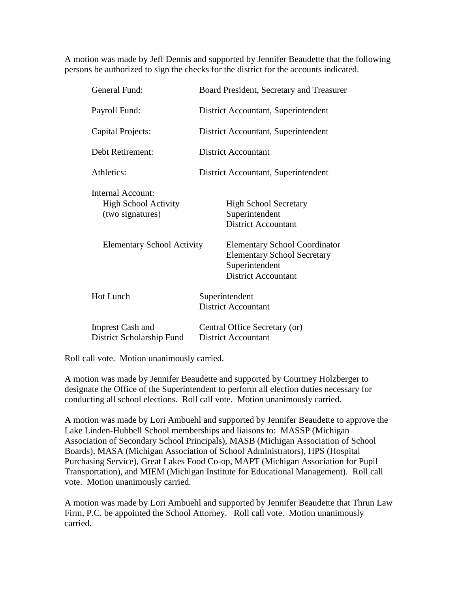A motion was made by Jeff Dennis and supported by Jennifer Beaudette that the following persons be authorized to sign the checks for the district for the accounts indicated.

| General Fund:                                                        | Board President, Secretary and Treasurer                                                                                   |
|----------------------------------------------------------------------|----------------------------------------------------------------------------------------------------------------------------|
| Payroll Fund:                                                        | District Accountant, Superintendent                                                                                        |
| Capital Projects:                                                    | District Accountant, Superintendent                                                                                        |
| Debt Retirement:                                                     | <b>District Accountant</b>                                                                                                 |
| Athletics:                                                           | District Accountant, Superintendent                                                                                        |
| Internal Account:<br><b>High School Activity</b><br>(two signatures) | <b>High School Secretary</b><br>Superintendent<br><b>District Accountant</b>                                               |
| <b>Elementary School Activity</b>                                    | <b>Elementary School Coordinator</b><br><b>Elementary School Secretary</b><br>Superintendent<br><b>District Accountant</b> |
| <b>Hot Lunch</b>                                                     | Superintendent<br><b>District Accountant</b>                                                                               |
| <b>Imprest Cash and</b><br>District Scholarship Fund                 | Central Office Secretary (or)<br>District Accountant                                                                       |

Roll call vote. Motion unanimously carried.

A motion was made by Jennifer Beaudette and supported by Courtney Holzberger to designate the Office of the Superintendent to perform all election duties necessary for conducting all school elections. Roll call vote. Motion unanimously carried.

A motion was made by Lori Ambuehl and supported by Jennifer Beaudette to approve the Lake Linden-Hubbell School memberships and liaisons to: MASSP (Michigan Association of Secondary School Principals), MASB (Michigan Association of School Boards), MASA (Michigan Association of School Administrators), HPS (Hospital Purchasing Service), Great Lakes Food Co-op, MAPT (Michigan Association for Pupil Transportation), and MIEM (Michigan Institute for Educational Management). Roll call vote. Motion unanimously carried.

A motion was made by Lori Ambuehl and supported by Jennifer Beaudette that Thrun Law Firm, P.C. be appointed the School Attorney. Roll call vote. Motion unanimously carried.